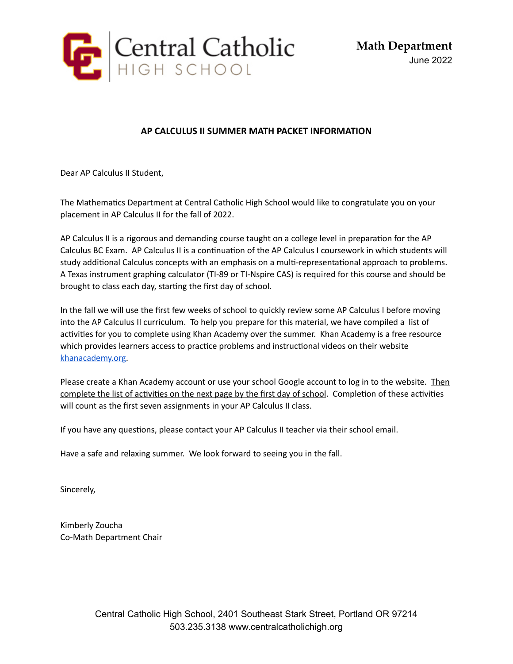

## **AP CALCULUS II SUMMER MATH PACKET INFORMATION**

Dear AP Calculus II Student,

The Mathematics Department at Central Catholic High School would like to congratulate you on your placement in AP Calculus II for the fall of 2022.

AP Calculus II is a rigorous and demanding course taught on a college level in preparation for the AP Calculus BC Exam. AP Calculus II is a continuation of the AP Calculus I coursework in which students will study additional Calculus concepts with an emphasis on a multi-representational approach to problems. A Texas instrument graphing calculator (TI-89 or TI-Nspire CAS) is required for this course and should be brought to class each day, starting the first day of school.

In the fall we will use the first few weeks of school to quickly review some AP Calculus I before moving into the AP Calculus II curriculum. To help you prepare for this material, we have compiled a list of activities for you to complete using Khan Academy over the summer. Khan Academy is a free resource which provides learners access to practice problems and instructional videos on their website [khanacademy.org.](http://khanacademy.org/)

Please create a Khan Academy account or use your school Google account to log in to the website. Then complete the list of activities on the next page by the first day of school. Completion of these activities will count as the first seven assignments in your AP Calculus II class.

If you have any questions, please contact your AP Calculus II teacher via their school email.

Have a safe and relaxing summer. We look forward to seeing you in the fall.

Sincerely,

Kimberly Zoucha Co-Math Department Chair